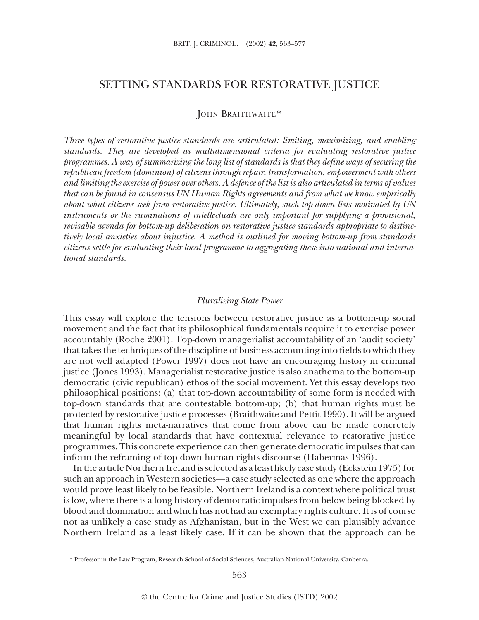# SETTING STANDARDS FOR RESTORATIVE JUSTICE

# JOHN BRAITHWAITE\*

*Three types of restorative justice standards are articulated: limiting, maximizing, and enabling standards. They are developed as multidimensional criteria for evaluating restorative justice programmes. A way of summarizing the long list of standards is that they define ways of securing the republican freedom (dominion) of citizens through repair, transformation, empowerment with others and limiting the exercise of power over others. A defence of the list is also articulated in terms of values that can be found in consensus UN Human Rights agreements and from what we know empirically about what citizens seek from restorative justice. Ultimately, such top-down lists motivated by UN instruments or the ruminations of intellectuals are only important for supplying a provisional, revisable agenda for bottom-up deliberation on restorative justice standards appropriate to distinctively local anxieties about injustice. A method is outlined for moving bottom-up from standards citizens settle for evaluating their local programme to aggregating these into national and international standards.*

## *Pluralizing State Power*

This essay will explore the tensions between restorative justice as a bottom-up social movement and the fact that its philosophical fundamentals require it to exercise power accountably (Roche 2001). Top-down managerialist accountability of an 'audit society' that takes the techniques of the discipline of business accounting into fields to which they are not well adapted (Power 1997) does not have an encouraging history in criminal justice (Jones 1993). Managerialist restorative justice is also anathema to the bottom-up democratic (civic republican) ethos of the social movement. Yet this essay develops two philosophical positions: (a) that top-down accountability of some form is needed with top-down standards that are contestable bottom-up; (b) that human rights must be protected by restorative justice processes (Braithwaite and Pettit 1990). It will be argued that human rights meta-narratives that come from above can be made concretely meaningful by local standards that have contextual relevance to restorative justice programmes. This concrete experience can then generate democratic impulses that can inform the reframing of top-down human rights discourse (Habermas 1996).

In the article Northern Ireland is selected as a least likely case study (Eckstein 1975) for such an approach in Western societies—a case study selected as one where the approach would prove least likely to be feasible. Northern Ireland is a context where political trust is low, where there is a long history of democratic impulses from below being blocked by blood and domination and which has not had an exemplary rights culture. It is of course not as unlikely a case study as Afghanistan, but in the West we can plausibly advance Northern Ireland as a least likely case. If it can be shown that the approach can be

<sup>\*</sup> Professor in the Law Program, Research School of Social Sciences, Australian National University, Canberra.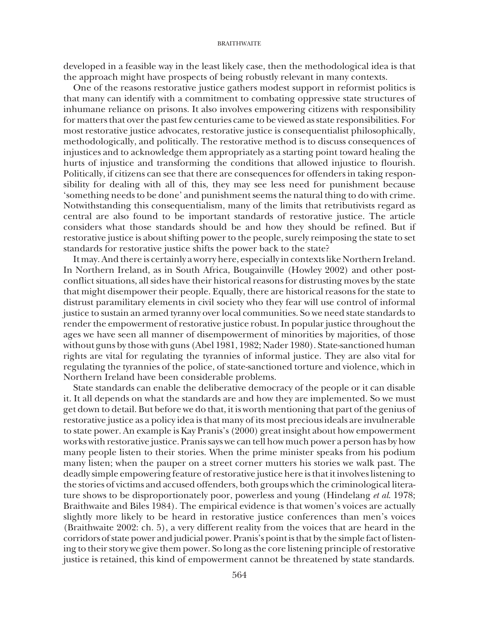developed in a feasible way in the least likely case, then the methodological idea is that the approach might have prospects of being robustly relevant in many contexts.

One of the reasons restorative justice gathers modest support in reformist politics is that many can identify with a commitment to combating oppressive state structures of inhumane reliance on prisons. It also involves empowering citizens with responsibility for matters that over the past few centuries came to be viewed as state responsibilities. For most restorative justice advocates, restorative justice is consequentialist philosophically, methodologically, and politically. The restorative method is to discuss consequences of injustices and to acknowledge them appropriately as a starting point toward healing the hurts of injustice and transforming the conditions that allowed injustice to flourish. Politically, if citizens can see that there are consequences for offenders in taking responsibility for dealing with all of this, they may see less need for punishment because 'something needs to be done' and punishment seems the natural thing to do with crime. Notwithstanding this consequentialism, many of the limits that retributivists regard as central are also found to be important standards of restorative justice. The article considers what those standards should be and how they should be refined. But if restorative justice is about shifting power to the people, surely reimposing the state to set standards for restorative justice shifts the power back to the state?

It may. And there is certainly a worry here, especially in contexts like Northern Ireland. In Northern Ireland, as in South Africa, Bougainville (Howley 2002) and other postconflict situations, all sides have their historical reasons for distrusting moves by the state that might disempower their people. Equally, there are historical reasons for the state to distrust paramilitary elements in civil society who they fear will use control of informal justice to sustain an armed tyranny over local communities. So we need state standards to render the empowerment of restorative justice robust. In popular justice throughout the ages we have seen all manner of disempowerment of minorities by majorities, of those without guns by those with guns (Abel 1981, 1982; Nader 1980). State-sanctioned human rights are vital for regulating the tyrannies of informal justice. They are also vital for regulating the tyrannies of the police, of state-sanctioned torture and violence, which in Northern Ireland have been considerable problems.

State standards can enable the deliberative democracy of the people or it can disable it. It all depends on what the standards are and how they are implemented. So we must get down to detail. But before we do that, it is worth mentioning that part of the genius of restorative justice as a policy idea is that many of its most precious ideals are invulnerable to state power. An example is Kay Pranis's (2000) great insight about how empowerment works with restorative justice. Pranis says we can tell how much power a person has by how many people listen to their stories. When the prime minister speaks from his podium many listen; when the pauper on a street corner mutters his stories we walk past. The deadly simple empowering feature of restorative justice here is that it involves listening to the stories of victims and accused offenders, both groups which the criminological literature shows to be disproportionately poor, powerless and young (Hindelang *et al*. 1978; Braithwaite and Biles 1984). The empirical evidence is that women's voices are actually slightly more likely to be heard in restorative justice conferences than men's voices (Braithwaite 2002: ch. 5), a very different reality from the voices that are heard in the corridors of state power and judicial power. Pranis's point is that by the simple fact of listening to their story we give them power. So long as the core listening principle of restorative justice is retained, this kind of empowerment cannot be threatened by state standards.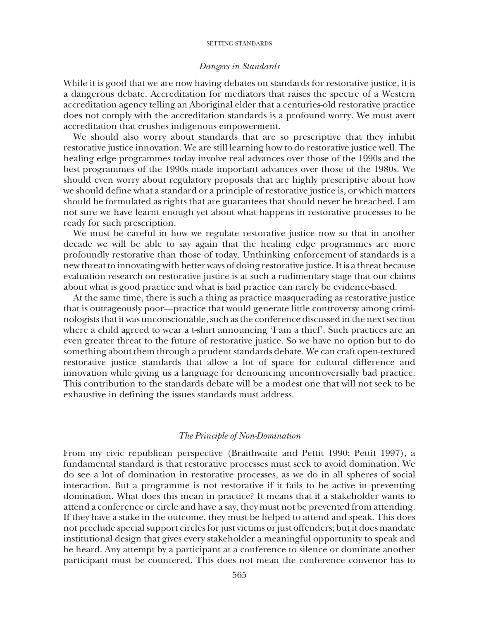## *Dangers in Standards*

While it is good that we are now having debates on standards for restorative justice, it is a dangerous debate. Accreditation for mediators that raises the spectre of a Western accreditation agency telling an Aboriginal elder that a centuries-old restorative practice does not comply with the accreditation standards is a profound worry. We must avert accreditation that crushes indigenous empowerment.

We should also worry about standards that are so prescriptive that they inhibit restorative justice innovation. We are still learning how to do restorative justice well. The healing edge programmes today involve real advances over those of the 1990s and the best programmes of the 1990s made important advances over those of the 1980s. We should even worry about regulatory proposals that are highly prescriptive about how we should define what a standard or a principle of restorative justice is, or which matters should be formulated as rights that are guarantees that should never be breached. I am not sure we have learnt enough yet about what happens in restorative processes to be ready for such prescription.

We must be careful in how we regulate restorative justice now so that in another decade we will be able to say again that the healing edge programmes are more profoundly restorative than those of today. Unthinking enforcement of standards is a new threat to innovating with better ways of doing restorative justice. It is a threat because evaluation research on restorative justice is at such a rudimentary stage that our claims about what is good practice and what is bad practice can rarely be evidence-based.

At the same time, there is such a thing as practice masquerading as restorative justice that is outrageously poor—practice that would generate little controversy among criminologists that it was unconscionable, such as the conference discussed in the next section where a child agreed to wear a t-shirt announcing 'I am a thief'. Such practices are an even greater threat to the future of restorative justice. So we have no option but to do something about them through a prudent standards debate. We can craft open-textured restorative justice standards that allow a lot of space for cultural difference and innovation while giving us a language for denouncing uncontroversially bad practice. This contribution to the standards debate will be a modest one that will not seek to be exhaustive in defining the issues standards must address.

## *The Principle of Non-Domination*

From my civic republican perspective (Braithwaite and Pettit 1990; Pettit 1997), a fundamental standard is that restorative processes must seek to avoid domination. We do see a lot of domination in restorative processes, as we do in all spheres of social interaction. But a programme is not restorative if it fails to be active in preventing domination. What does this mean in practice? It means that if a stakeholder wants to attend a conference or circle and have a say, they must not be prevented from attending. If they have a stake in the outcome, they must be helped to attend and speak. This does not preclude special support circles for just victims or just offenders; but it does mandate institutional design that gives every stakeholder a meaningful opportunity to speak and be heard. Any attempt by a participant at a conference to silence or dominate another participant must be countered. This does not mean the conference convenor has to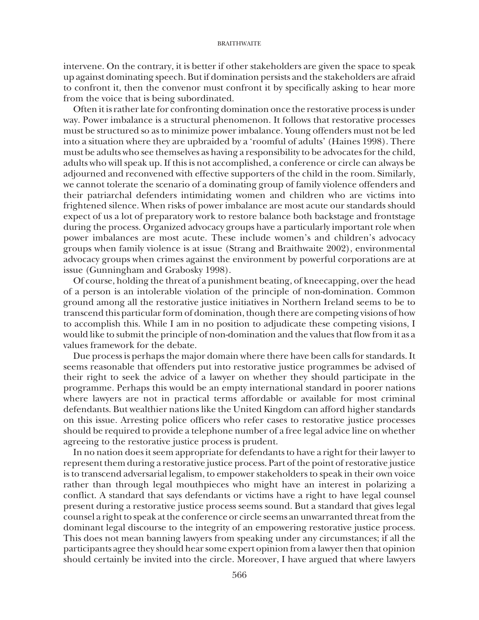intervene. On the contrary, it is better if other stakeholders are given the space to speak up against dominating speech. But if domination persists and the stakeholders are afraid to confront it, then the convenor must confront it by specifically asking to hear more from the voice that is being subordinated.

Often it is rather late for confronting domination once the restorative process is under way. Power imbalance is a structural phenomenon. It follows that restorative processes must be structured so as to minimize power imbalance. Young offenders must not be led into a situation where they are upbraided by a 'roomful of adults' (Haines 1998). There must be adults who see themselves as having a responsibility to be advocates for the child, adults who will speak up. If this is not accomplished, a conference or circle can always be adjourned and reconvened with effective supporters of the child in the room. Similarly, we cannot tolerate the scenario of a dominating group of family violence offenders and their patriarchal defenders intimidating women and children who are victims into frightened silence. When risks of power imbalance are most acute our standards should expect of us a lot of preparatory work to restore balance both backstage and frontstage during the process. Organized advocacy groups have a particularly important role when power imbalances are most acute. These include women's and children's advocacy groups when family violence is at issue (Strang and Braithwaite 2002), environmental advocacy groups when crimes against the environment by powerful corporations are at issue (Gunningham and Grabosky 1998).

Of course, holding the threat of a punishment beating, of kneecapping, over the head of a person is an intolerable violation of the principle of non-domination. Common ground among all the restorative justice initiatives in Northern Ireland seems to be to transcend this particular form of domination, though there are competing visions of how to accomplish this. While I am in no position to adjudicate these competing visions, I would like to submit the principle of non-domination and the values that flow from it as a values framework for the debate.

Due process is perhaps the major domain where there have been calls for standards. It seems reasonable that offenders put into restorative justice programmes be advised of their right to seek the advice of a lawyer on whether they should participate in the programme. Perhaps this would be an empty international standard in poorer nations where lawyers are not in practical terms affordable or available for most criminal defendants. But wealthier nations like the United Kingdom can afford higher standards on this issue. Arresting police officers who refer cases to restorative justice processes should be required to provide a telephone number of a free legal advice line on whether agreeing to the restorative justice process is prudent.

In no nation does it seem appropriate for defendants to have a right for their lawyer to represent them during a restorative justice process. Part of the point of restorative justice is to transcend adversarial legalism, to empower stakeholders to speak in their own voice rather than through legal mouthpieces who might have an interest in polarizing a conflict. A standard that says defendants or victims have a right to have legal counsel present during a restorative justice process seems sound. But a standard that gives legal counsel a right to speak at the conference or circle seems an unwarranted threat from the dominant legal discourse to the integrity of an empowering restorative justice process. This does not mean banning lawyers from speaking under any circumstances; if all the participants agree they should hear some expert opinion from a lawyer then that opinion should certainly be invited into the circle. Moreover, I have argued that where lawyers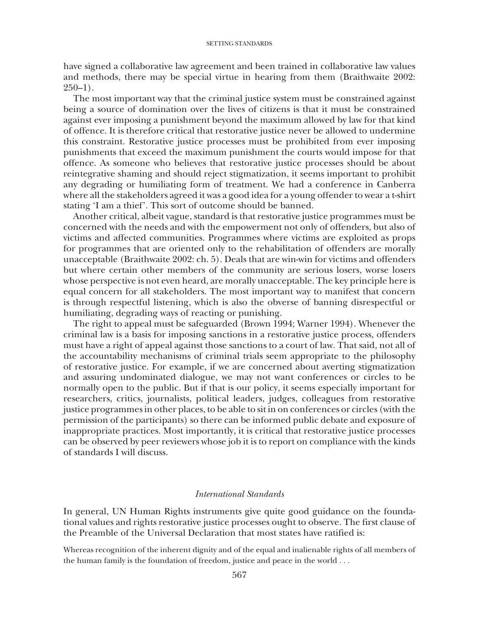have signed a collaborative law agreement and been trained in collaborative law values and methods, there may be special virtue in hearing from them (Braithwaite 2002:  $250-1$ ).

The most important way that the criminal justice system must be constrained against being a source of domination over the lives of citizens is that it must be constrained against ever imposing a punishment beyond the maximum allowed by law for that kind of offence. It is therefore critical that restorative justice never be allowed to undermine this constraint. Restorative justice processes must be prohibited from ever imposing punishments that exceed the maximum punishment the courts would impose for that offence. As someone who believes that restorative justice processes should be about reintegrative shaming and should reject stigmatization, it seems important to prohibit any degrading or humiliating form of treatment. We had a conference in Canberra where all the stakeholders agreed it was a good idea for a young offender to wear a t-shirt stating 'I am a thief'. This sort of outcome should be banned.

Another critical, albeit vague, standard is that restorative justice programmes must be concerned with the needs and with the empowerment not only of offenders, but also of victims and affected communities. Programmes where victims are exploited as props for programmes that are oriented only to the rehabilitation of offenders are morally unacceptable (Braithwaite 2002: ch. 5). Deals that are win-win for victims and offenders but where certain other members of the community are serious losers, worse losers whose perspective is not even heard, are morally unacceptable. The key principle here is equal concern for all stakeholders. The most important way to manifest that concern is through respectful listening, which is also the obverse of banning disrespectful or humiliating, degrading ways of reacting or punishing.

The right to appeal must be safeguarded (Brown 1994; Warner 1994). Whenever the criminal law is a basis for imposing sanctions in a restorative justice process, offenders must have a right of appeal against those sanctions to a court of law. That said, not all of the accountability mechanisms of criminal trials seem appropriate to the philosophy of restorative justice. For example, if we are concerned about averting stigmatization and assuring undominated dialogue, we may not want conferences or circles to be normally open to the public. But if that is our policy, it seems especially important for researchers, critics, journalists, political leaders, judges, colleagues from restorative justice programmes in other places, to be able to sit in on conferences or circles (with the permission of the participants) so there can be informed public debate and exposure of inappropriate practices. Most importantly, it is critical that restorative justice processes can be observed by peer reviewers whose job it is to report on compliance with the kinds of standards I will discuss.

# *International Standards*

In general, UN Human Rights instruments give quite good guidance on the foundational values and rights restorative justice processes ought to observe. The first clause of the Preamble of the Universal Declaration that most states have ratified is:

Whereas recognition of the inherent dignity and of the equal and inalienable rights of all members of the human family is the foundation of freedom, justice and peace in the world . . .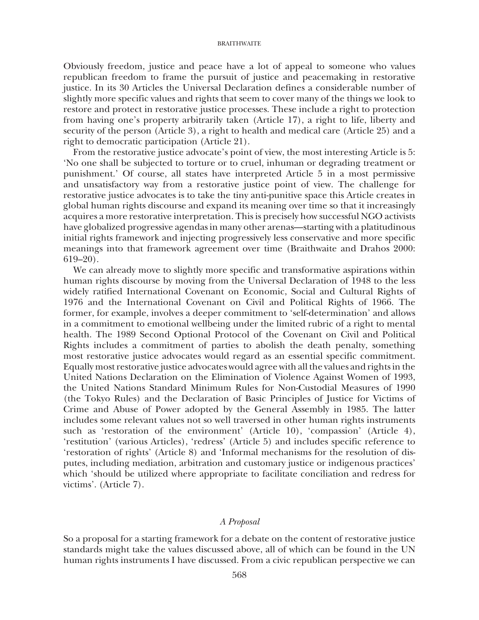Obviously freedom, justice and peace have a lot of appeal to someone who values republican freedom to frame the pursuit of justice and peacemaking in restorative justice. In its 30 Articles the Universal Declaration defines a considerable number of slightly more specific values and rights that seem to cover many of the things we look to restore and protect in restorative justice processes. These include a right to protection from having one's property arbitrarily taken (Article 17), a right to life, liberty and security of the person (Article 3), a right to health and medical care (Article 25) and a right to democratic participation (Article 21).

From the restorative justice advocate's point of view, the most interesting Article is 5: 'No one shall be subjected to torture or to cruel, inhuman or degrading treatment or punishment.' Of course, all states have interpreted Article 5 in a most permissive and unsatisfactory way from a restorative justice point of view. The challenge for restorative justice advocates is to take the tiny anti-punitive space this Article creates in global human rights discourse and expand its meaning over time so that it increasingly acquires a more restorative interpretation. This is precisely how successful NGO activists have globalized progressive agendas in many other arenas—starting with a platitudinous initial rights framework and injecting progressively less conservative and more specific meanings into that framework agreement over time (Braithwaite and Drahos 2000: 619–20).

We can already move to slightly more specific and transformative aspirations within human rights discourse by moving from the Universal Declaration of 1948 to the less widely ratified International Covenant on Economic, Social and Cultural Rights of 1976 and the International Covenant on Civil and Political Rights of 1966. The former, for example, involves a deeper commitment to 'self-determination' and allows in a commitment to emotional wellbeing under the limited rubric of a right to mental health. The 1989 Second Optional Protocol of the Covenant on Civil and Political Rights includes a commitment of parties to abolish the death penalty, something most restorative justice advocates would regard as an essential specific commitment. Equally most restorative justice advocates would agree with all the values and rights in the United Nations Declaration on the Elimination of Violence Against Women of 1993, the United Nations Standard Minimum Rules for Non-Custodial Measures of 1990 (the Tokyo Rules) and the Declaration of Basic Principles of Justice for Victims of Crime and Abuse of Power adopted by the General Assembly in 1985. The latter includes some relevant values not so well traversed in other human rights instruments such as 'restoration of the environment' (Article 10), 'compassion' (Article 4), 'restitution' (various Articles), 'redress' (Article 5) and includes specific reference to 'restoration of rights' (Article 8) and 'Informal mechanisms for the resolution of disputes, including mediation, arbitration and customary justice or indigenous practices' which 'should be utilized where appropriate to facilitate conciliation and redress for victims'. (Article 7).

# *A Proposal*

So a proposal for a starting framework for a debate on the content of restorative justice standards might take the values discussed above, all of which can be found in the UN human rights instruments I have discussed. From a civic republican perspective we can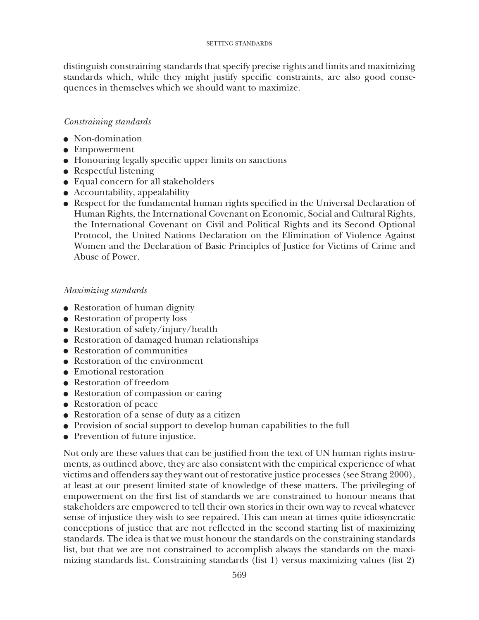distinguish constraining standards that specify precise rights and limits and maximizing standards which, while they might justify specific constraints, are also good consequences in themselves which we should want to maximize.

# *Constraining standards*

- Non-domination
- Empowerment
- Honouring legally specific upper limits on sanctions
- Respectful listening
- Equal concern for all stakeholders
- Accountability, appealability
- Respect for the fundamental human rights specified in the Universal Declaration of Human Rights, the International Covenant on Economic, Social and Cultural Rights, the International Covenant on Civil and Political Rights and its Second Optional Protocol, the United Nations Declaration on the Elimination of Violence Against Women and the Declaration of Basic Principles of Justice for Victims of Crime and Abuse of Power.

# *Maximizing standards*

- Restoration of human dignity
- Restoration of property loss
- Restoration of safety/injury/health
- Restoration of damaged human relationships
- Restoration of communities
- Restoration of the environment
- Emotional restoration
- Restoration of freedom
- Restoration of compassion or caring
- Restoration of peace
- Restoration of a sense of duty as a citizen
- Provision of social support to develop human capabilities to the full
- Prevention of future injustice.

Not only are these values that can be justified from the text of UN human rights instruments, as outlined above, they are also consistent with the empirical experience of what victims and offenders say they want out of restorative justice processes (see Strang 2000), at least at our present limited state of knowledge of these matters. The privileging of empowerment on the first list of standards we are constrained to honour means that stakeholders are empowered to tell their own stories in their own way to reveal whatever sense of injustice they wish to see repaired. This can mean at times quite idiosyncratic conceptions of justice that are not reflected in the second starting list of maximizing standards. The idea is that we must honour the standards on the constraining standards list, but that we are not constrained to accomplish always the standards on the maximizing standards list. Constraining standards (list 1) versus maximizing values (list 2)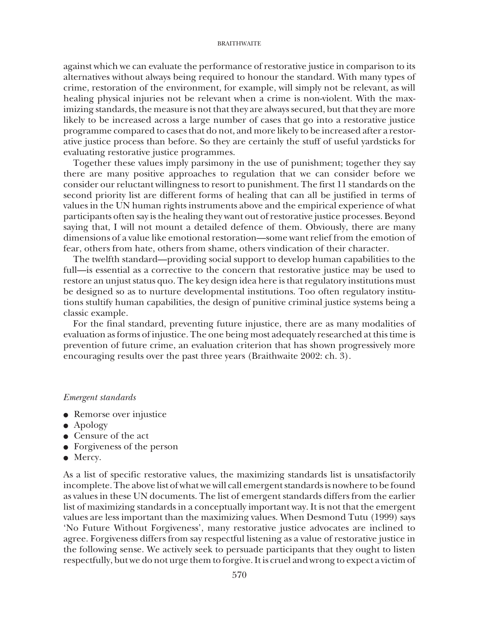against which we can evaluate the performance of restorative justice in comparison to its alternatives without always being required to honour the standard. With many types of crime, restoration of the environment, for example, will simply not be relevant, as will healing physical injuries not be relevant when a crime is non-violent. With the maximizing standards, the measure is not that they are always secured, but that they are more likely to be increased across a large number of cases that go into a restorative justice programme compared to cases that do not, and more likely to be increased after a restorative justice process than before. So they are certainly the stuff of useful yardsticks for evaluating restorative justice programmes.

Together these values imply parsimony in the use of punishment; together they say there are many positive approaches to regulation that we can consider before we consider our reluctant willingness to resort to punishment. The first 11 standards on the second priority list are different forms of healing that can all be justified in terms of values in the UN human rights instruments above and the empirical experience of what participants often say is the healing they want out of restorative justice processes. Beyond saying that, I will not mount a detailed defence of them. Obviously, there are many dimensions of a value like emotional restoration—some want relief from the emotion of fear, others from hate, others from shame, others vindication of their character.

The twelfth standard—providing social support to develop human capabilities to the full—is essential as a corrective to the concern that restorative justice may be used to restore an unjust status quo. The key design idea here is that regulatory institutions must be designed so as to nurture developmental institutions. Too often regulatory institutions stultify human capabilities, the design of punitive criminal justice systems being a classic example.

For the final standard, preventing future injustice, there are as many modalities of evaluation as forms of injustice. The one being most adequately researched at this time is prevention of future crime, an evaluation criterion that has shown progressively more encouraging results over the past three years (Braithwaite 2002: ch. 3).

## *Emergent standards*

- Remorse over injustice
- Apology
- Censure of the act
- Forgiveness of the person
- Mercy.

As a list of specific restorative values, the maximizing standards list is unsatisfactorily incomplete. The above list of what we will call emergent standards is nowhere to be found as values in these UN documents. The list of emergent standards differs from the earlier list of maximizing standards in a conceptually important way. It is not that the emergent values are less important than the maximizing values. When Desmond Tutu (1999) says 'No Future Without Forgiveness', many restorative justice advocates are inclined to agree. Forgiveness differs from say respectful listening as a value of restorative justice in the following sense. We actively seek to persuade participants that they ought to listen respectfully, but we do not urge them to forgive. It is cruel and wrong to expect a victim of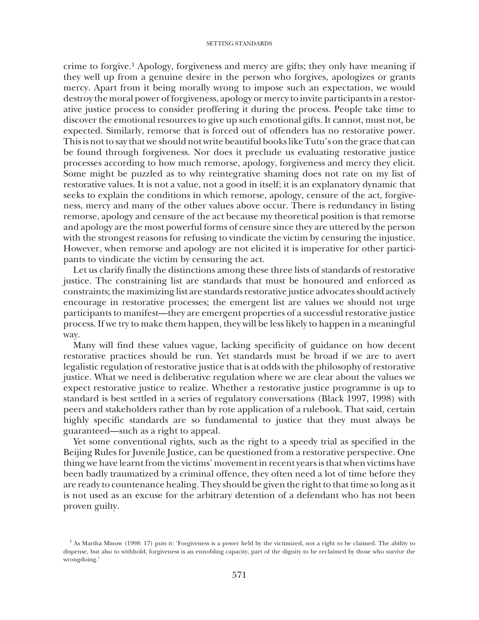crime to forgive.<sup>1</sup> Apology, forgiveness and mercy are gifts; they only have meaning if they well up from a genuine desire in the person who forgives, apologizes or grants mercy. Apart from it being morally wrong to impose such an expectation, we would destroy the moral power of forgiveness, apology or mercy to invite participants in a restorative justice process to consider proffering it during the process. People take time to discover the emotional resources to give up such emotional gifts. It cannot, must not, be expected. Similarly, remorse that is forced out of offenders has no restorative power. This is not to say that we should not write beautiful books like Tutu's on the grace that can be found through forgiveness. Nor does it preclude us evaluating restorative justice processes according to how much remorse, apology, forgiveness and mercy they elicit. Some might be puzzled as to why reintegrative shaming does not rate on my list of restorative values. It is not a value, not a good in itself; it is an explanatory dynamic that seeks to explain the conditions in which remorse, apology, censure of the act, forgiveness, mercy and many of the other values above occur. There is redundancy in listing remorse, apology and censure of the act because my theoretical position is that remorse and apology are the most powerful forms of censure since they are uttered by the person with the strongest reasons for refusing to vindicate the victim by censuring the injustice. However, when remorse and apology are not elicited it is imperative for other participants to vindicate the victim by censuring the act.

Let us clarify finally the distinctions among these three lists of standards of restorative justice. The constraining list are standards that must be honoured and enforced as constraints; the maximizing list are standards restorative justice advocates should actively encourage in restorative processes; the emergent list are values we should not urge participants to manifest—they are emergent properties of a successful restorative justice process. If we try to make them happen, they will be less likely to happen in a meaningful way.

Many will find these values vague, lacking specificity of guidance on how decent restorative practices should be run. Yet standards must be broad if we are to avert legalistic regulation of restorative justice that is at odds with the philosophy of restorative justice. What we need is deliberative regulation where we are clear about the values we expect restorative justice to realize. Whether a restorative justice programme is up to standard is best settled in a series of regulatory conversations (Black 1997, 1998) with peers and stakeholders rather than by rote application of a rulebook. That said, certain highly specific standards are so fundamental to justice that they must always be guaranteed—such as a right to appeal.

Yet some conventional rights, such as the right to a speedy trial as specified in the Beijing Rules for Juvenile Justice, can be questioned from a restorative perspective. One thing we have learnt from the victims' movement in recent years is that when victims have been badly traumatized by a criminal offence, they often need a lot of time before they are ready to countenance healing. They should be given the right to that time so long as it is not used as an excuse for the arbitrary detention of a defendant who has not been proven guilty.

<sup>&</sup>lt;sup>1</sup> As Martha Minow (1998: 17) puts it: 'Forgiveness is a power held by the victimized, not a right to be claimed. The ability to dispense, but also to withhold, forgiveness is an ennobling capacity, part of the dignity to be reclaimed by those who survive the wrongdoing.'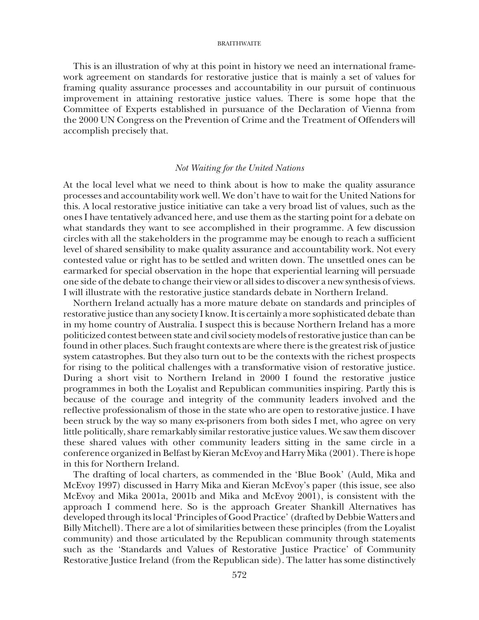This is an illustration of why at this point in history we need an international framework agreement on standards for restorative justice that is mainly a set of values for framing quality assurance processes and accountability in our pursuit of continuous improvement in attaining restorative justice values. There is some hope that the Committee of Experts established in pursuance of the Declaration of Vienna from the 2000 UN Congress on the Prevention of Crime and the Treatment of Offenders will accomplish precisely that.

## *Not Waiting for the United Nations*

At the local level what we need to think about is how to make the quality assurance processes and accountability work well. We don't have to wait for the United Nations for this. A local restorative justice initiative can take a very broad list of values, such as the ones I have tentatively advanced here, and use them as the starting point for a debate on what standards they want to see accomplished in their programme. A few discussion circles with all the stakeholders in the programme may be enough to reach a sufficient level of shared sensibility to make quality assurance and accountability work. Not every contested value or right has to be settled and written down. The unsettled ones can be earmarked for special observation in the hope that experiential learning will persuade one side of the debate to change their view or all sides to discover a new synthesis of views. I will illustrate with the restorative justice standards debate in Northern Ireland.

Northern Ireland actually has a more mature debate on standards and principles of restorative justice than any society I know. It is certainly a more sophisticated debate than in my home country of Australia. I suspect this is because Northern Ireland has a more politicized contest between state and civil society models of restorative justice than can be found in other places. Such fraught contexts are where there is the greatest risk of justice system catastrophes. But they also turn out to be the contexts with the richest prospects for rising to the political challenges with a transformative vision of restorative justice. During a short visit to Northern Ireland in 2000 I found the restorative justice programmes in both the Loyalist and Republican communities inspiring. Partly this is because of the courage and integrity of the community leaders involved and the reflective professionalism of those in the state who are open to restorative justice. I have been struck by the way so many ex-prisoners from both sides I met, who agree on very little politically, share remarkably similar restorative justice values. We saw them discover these shared values with other community leaders sitting in the same circle in a conference organized in Belfast by Kieran McEvoy and Harry Mika (2001). There is hope in this for Northern Ireland.

The drafting of local charters, as commended in the 'Blue Book' (Auld, Mika and McEvoy 1997) discussed in Harry Mika and Kieran McEvoy's paper (this issue, see also McEvoy and Mika 2001a, 2001b and Mika and McEvoy 2001), is consistent with the approach I commend here. So is the approach Greater Shankill Alternatives has developed through its local 'Principles of Good Practice' (drafted by Debbie Watters and Billy Mitchell). There are a lot of similarities between these principles (from the Loyalist community) and those articulated by the Republican community through statements such as the 'Standards and Values of Restorative Justice Practice' of Community Restorative Justice Ireland (from the Republican side). The latter has some distinctively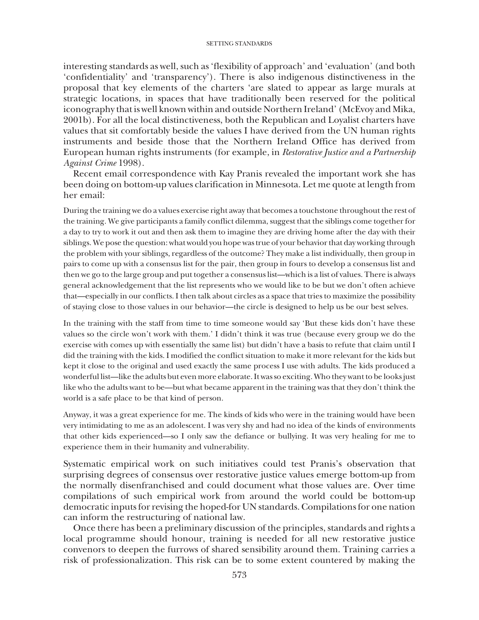interesting standards as well, such as 'flexibility of approach' and 'evaluation' (and both 'confidentiality' and 'transparency'). There is also indigenous distinctiveness in the proposal that key elements of the charters 'are slated to appear as large murals at strategic locations, in spaces that have traditionally been reserved for the political iconography that is well known within and outside Northern Ireland' (McEvoy and Mika, 2001b). For all the local distinctiveness, both the Republican and Loyalist charters have values that sit comfortably beside the values I have derived from the UN human rights instruments and beside those that the Northern Ireland Office has derived from European human rights instruments (for example, in *Restorative Justice and a Partnership Against Crime* 1998).

Recent email correspondence with Kay Pranis revealed the important work she has been doing on bottom-up values clarification in Minnesota. Let me quote at length from her email:

During the training we do a values exercise right away that becomes a touchstone throughout the rest of the training. We give participants a family conflict dilemma, suggest that the siblings come together for a day to try to work it out and then ask them to imagine they are driving home after the day with their siblings. We pose the question: what would you hope was true of your behavior that day working through the problem with your siblings, regardless of the outcome? They make a list individually, then group in pairs to come up with a consensus list for the pair, then group in fours to develop a consensus list and then we go to the large group and put together a consensus list—which is a list of values. There is always general acknowledgement that the list represents who we would like to be but we don't often achieve that—especially in our conflicts. I then talk about circles as a space that tries to maximize the possibility of staying close to those values in our behavior—the circle is designed to help us be our best selves.

In the training with the staff from time to time someone would say 'But these kids don't have these values so the circle won't work with them.' I didn't think it was true (because every group we do the exercise with comes up with essentially the same list) but didn't have a basis to refute that claim until I did the training with the kids. I modified the conflict situation to make it more relevant for the kids but kept it close to the original and used exactly the same process I use with adults. The kids produced a wonderful list—like the adults but even more elaborate. It was so exciting. Who they want to be looks just like who the adults want to be—but what became apparent in the training was that they don't think the world is a safe place to be that kind of person.

Anyway, it was a great experience for me. The kinds of kids who were in the training would have been very intimidating to me as an adolescent. I was very shy and had no idea of the kinds of environments that other kids experienced—so I only saw the defiance or bullying. It was very healing for me to experience them in their humanity and vulnerability.

Systematic empirical work on such initiatives could test Pranis's observation that surprising degrees of consensus over restorative justice values emerge bottom-up from the normally disenfranchised and could document what those values are. Over time compilations of such empirical work from around the world could be bottom-up democratic inputs for revising the hoped-for UN standards. Compilations for one nation can inform the restructuring of national law.

Once there has been a preliminary discussion of the principles, standards and rights a local programme should honour, training is needed for all new restorative justice convenors to deepen the furrows of shared sensibility around them. Training carries a risk of professionalization. This risk can be to some extent countered by making the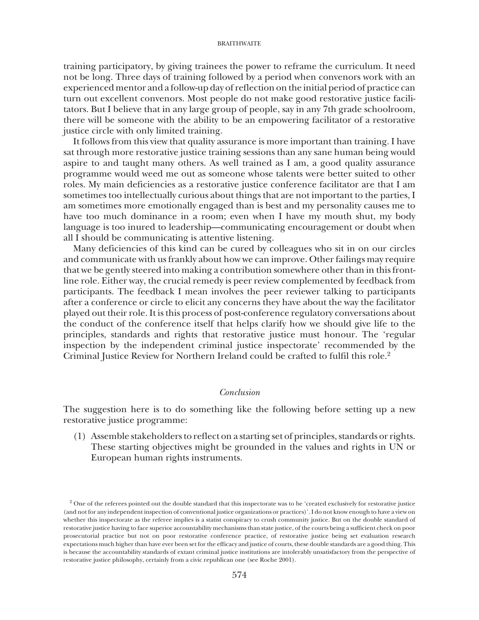training participatory, by giving trainees the power to reframe the curriculum. It need not be long. Three days of training followed by a period when convenors work with an experienced mentor and a follow-up day of reflection on the initial period of practice can turn out excellent convenors. Most people do not make good restorative justice facilitators. But I believe that in any large group of people, say in any 7th grade schoolroom, there will be someone with the ability to be an empowering facilitator of a restorative justice circle with only limited training.

It follows from this view that quality assurance is more important than training. I have sat through more restorative justice training sessions than any sane human being would aspire to and taught many others. As well trained as I am, a good quality assurance programme would weed me out as someone whose talents were better suited to other roles. My main deficiencies as a restorative justice conference facilitator are that I am sometimes too intellectually curious about things that are not important to the parties, I am sometimes more emotionally engaged than is best and my personality causes me to have too much dominance in a room; even when I have my mouth shut, my body language is too inured to leadership—communicating encouragement or doubt when all I should be communicating is attentive listening.

Many deficiencies of this kind can be cured by colleagues who sit in on our circles and communicate with us frankly about how we can improve. Other failings may require that we be gently steered into making a contribution somewhere other than in this frontline role. Either way, the crucial remedy is peer review complemented by feedback from participants. The feedback I mean involves the peer reviewer talking to participants after a conference or circle to elicit any concerns they have about the way the facilitator played out their role. It is this process of post-conference regulatory conversations about the conduct of the conference itself that helps clarify how we should give life to the principles, standards and rights that restorative justice must honour. The 'regular inspection by the independent criminal justice inspectorate' recommended by the Criminal Justice Review for Northern Ireland could be crafted to fulfil this role.<sup>2</sup>

## *Conclusion*

The suggestion here is to do something like the following before setting up a new restorative justice programme:

(1) Assemble stakeholders to reflect on a starting set of principles, standards or rights. These starting objectives might be grounded in the values and rights in UN or European human rights instruments.

<sup>&</sup>lt;sup>2</sup> One of the referees pointed out the double standard that this inspectorate was to be 'created exclusively for restorative justice (and not for any independent inspection of conventional justice organizations or practices)'. I do not know enough to have a view on whether this inspectorate as the referee implies is a statist conspiracy to crush community justice. But on the double standard of restorative justice having to face superior accountability mechanisms than state justice, of the courts being a sufficient check on poor prosecutorial practice but not on poor restorative conference practice, of restorative justice being set evaluation research expectations much higher than have ever been set for the efficacy and justice of courts, these double standards are a good thing. This is because the accountability standards of extant criminal justice institutions are intolerably unsatisfactory from the perspective of restorative justice philosophy, certainly from a civic republican one (see Roche 2001).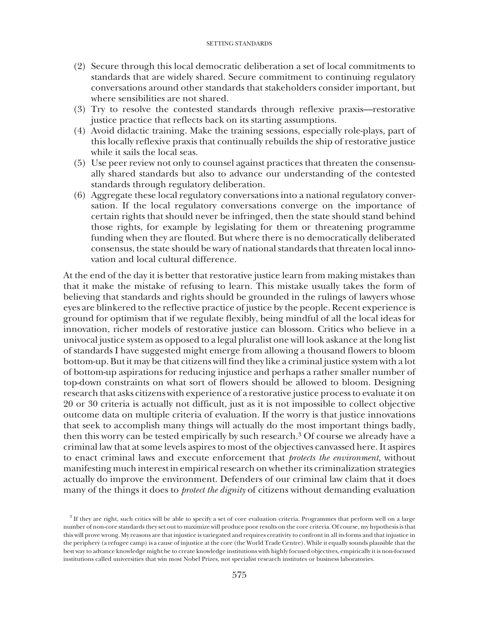- (2) Secure through this local democratic deliberation a set of local commitments to standards that are widely shared. Secure commitment to continuing regulatory conversations around other standards that stakeholders consider important, but where sensibilities are not shared.
- (3) Try to resolve the contested standards through reflexive praxis—restorative justice practice that reflects back on its starting assumptions.
- (4) Avoid didactic training. Make the training sessions, especially role-plays, part of this locally reflexive praxis that continually rebuilds the ship of restorative justice while it sails the local seas.
- (5) Use peer review not only to counsel against practices that threaten the consensually shared standards but also to advance our understanding of the contested standards through regulatory deliberation.
- (6) Aggregate these local regulatory conversations into a national regulatory conversation. If the local regulatory conversations converge on the importance of certain rights that should never be infringed, then the state should stand behind those rights, for example by legislating for them or threatening programme funding when they are flouted. But where there is no democratically deliberated consensus, the state should be wary of national standards that threaten local innovation and local cultural difference.

At the end of the day it is better that restorative justice learn from making mistakes than that it make the mistake of refusing to learn. This mistake usually takes the form of believing that standards and rights should be grounded in the rulings of lawyers whose eyes are blinkered to the reflective practice of justice by the people. Recent experience is ground for optimism that if we regulate flexibly, being mindful of all the local ideas for innovation, richer models of restorative justice can blossom. Critics who believe in a univocal justice system as opposed to a legal pluralist one will look askance at the long list of standards I have suggested might emerge from allowing a thousand flowers to bloom bottom-up. But it may be that citizens will find they like a criminal justice system with a lot of bottom-up aspirations for reducing injustice and perhaps a rather smaller number of top-down constraints on what sort of flowers should be allowed to bloom. Designing research that asks citizens with experience of a restorative justice process to evaluate it on 20 or 30 criteria is actually not difficult, just as it is not impossible to collect objective outcome data on multiple criteria of evaluation. If the worry is that justice innovations that seek to accomplish many things will actually do the most important things badly, then this worry can be tested empirically by such research.<sup>3</sup> Of course we already have a criminal law that at some levels aspires to most of the objectives canvassed here. It aspires to enact criminal laws and execute enforcement that *protects the environment*, without manifesting much interest in empirical research on whether its criminalization strategies actually do improve the environment. Defenders of our criminal law claim that it does many of the things it does to *protect the dignity* of citizens without demanding evaluation

 $3$  If they are right, such critics will be able to specify a set of core evaluation criteria. Programmes that perform well on a large number of non-core standards they set out to maximize will produce poor results on the core criteria. Of course, my hypothesis is that this will prove wrong. My reasons are that injustice is variegated and requires creativity to confront in all its forms and that injustice in the periphery (a refugee camp) is a cause of injustice at the core (the World Trade Centre). While it equally sounds plausible that the best way to advance knowledge might be to create knowledge institutions with highly focused objectives, empirically it is non-focused institutions called universities that win most Nobel Prizes, not specialist research institutes or business laboratories.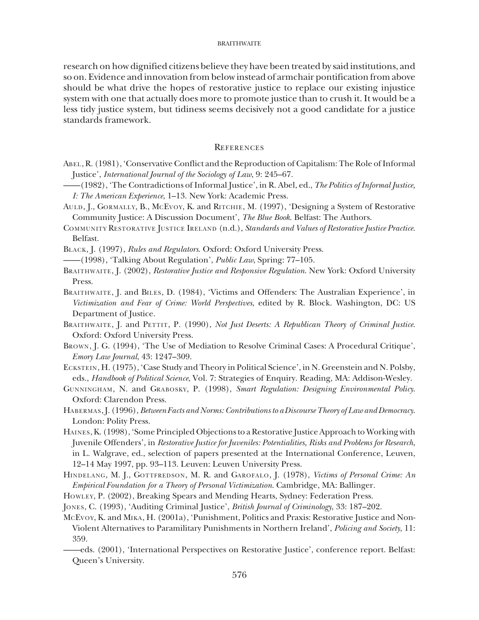research on how dignified citizens believe they have been treated by said institutions, and so on. Evidence and innovation from below instead of armchair pontification from above should be what drive the hopes of restorative justice to replace our existing injustice system with one that actually does more to promote justice than to crush it. It would be a less tidy justice system, but tidiness seems decisively not a good candidate for a justice standards framework.

## **REFERENCES**

- ABEL, R. (1981), 'Conservative Conflict and the Reproduction of Capitalism: The Role of Informal Justice', *International Journal of the Sociology of Law*, 9: 245–67.
- ——(1982), 'The Contradictions of Informal Justice', in R. Abel, ed., *The Politics of Informal Justice, I: The American Experience*, 1–13. New York: Academic Press.
- AULD, J., GORMALLY, B., MCEVOY, K. and RITCHIE, M. (1997), 'Designing a System of Restorative Community Justice: A Discussion Document', *The Blue Book*. Belfast: The Authors.
- COMMUNITY RESTORATIVE JUSTICE IRELAND (n.d.), *Standards and Values of Restorative Justice Practice*. Belfast.
- BLACK, J. (1997), *Rules and Regulators*. Oxford: Oxford University Press.
- ——(1998), 'Talking About Regulation', *Public Law*, Spring: 77–105.
- BRAITHWAITE, J. (2002), *Restorative Justice and Responsive Regulation*. New York: Oxford University Press.
- BRAITHWAITE, J. and BILES, D. (1984), 'Victims and Offenders: The Australian Experience', in *Victimization and Fear of Crime: World Perspectives*, edited by R. Block. Washington, DC: US Department of Justice.
- BRAITHWAITE, J. and PETTIT, P. (1990), *Not Just Deserts: A Republican Theory of Criminal Justice*. Oxford: Oxford University Press.
- BROWN, J. G. (1994), 'The Use of Mediation to Resolve Criminal Cases: A Procedural Critique', *Emory Law Journal*, 43: 1247–309.
- ECKSTEIN, H. (1975), 'Case Study and Theory in Political Science', in N. Greenstein and N. Polsby, eds., *Handbook of Political Science*, Vol. 7: Strategies of Enquiry. Reading, MA: Addison-Wesley.
- GUNNINGHAM, N. and GRABOSKY, P. (1998), *Smart Regulation: Designing Environmental Policy*. Oxford: Clarendon Press.
- HABERMAS, J. (1996), *Between Facts and Norms: Contributions to a Discourse Theory of Law and Democracy*. London: Polity Press.
- HAINES, K. (1998), 'Some Principled Objections to a Restorative Justice Approach to Working with Juvenile Offenders', in *Restorative Justice for Juveniles: Potentialities, Risks and Problems for Research*, in L. Walgrave, ed., selection of papers presented at the International Conference, Leuven, 12–14 May 1997, pp. 93–113. Leuven: Leuven University Press.
- HINDELANG, M. J., GOTTFREDSON, M. R. and GAROFALO, J. (1978), *Victims of Personal Crime: An Empirical Foundation for a Theory of Personal Victimization*. Cambridge, MA: Ballinger.
- HOWLEY, P. (2002), Breaking Spears and Mending Hearts, Sydney: Federation Press.
- JONES, C. (1993), 'Auditing Criminal Justice', *British Journal of Criminology*, 33: 187–202.
- MCEVOY, K. and MIKA, H. (2001a), 'Punishment, Politics and Praxis: Restorative Justice and Non-Violent Alternatives to Paramilitary Punishments in Northern Ireland', *Policing and Society*, 11: 359.
	- ——eds. (2001), 'International Perspectives on Restorative Justice', conference report. Belfast: Queen's University.